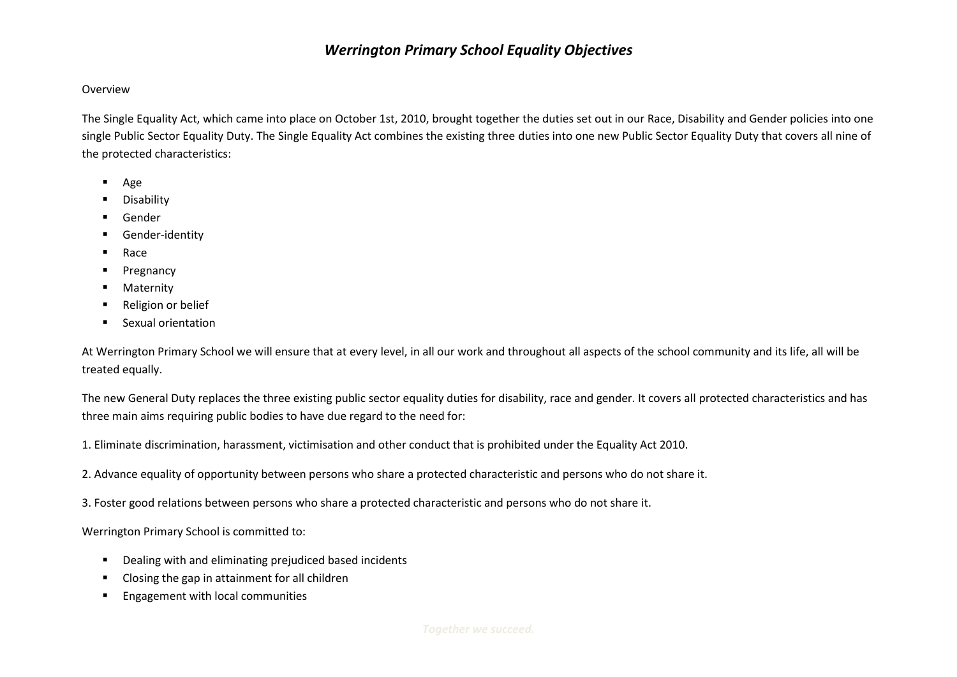## *Werrington Primary School Equality Objectives*

## Overview

The Single Equality Act, which came into place on October 1st, 2010, brought together the duties set out in our Race, Disability and Gender policies into one single Public Sector Equality Duty. The Single Equality Act combines the existing three duties into one new Public Sector Equality Duty that covers all nine of the protected characteristics:

- Age
- **Disability**
- Gender
- **E** Gender-identity
- Race
- **Pregnancy**
- **Maternity**
- Religion or belief
- **Sexual orientation**

At Werrington Primary School we will ensure that at every level, in all our work and throughout all aspects of the school community and its life, all will be treated equally.

The new General Duty replaces the three existing public sector equality duties for disability, race and gender. It covers all protected characteristics and has three main aims requiring public bodies to have due regard to the need for:

1. Eliminate discrimination, harassment, victimisation and other conduct that is prohibited under the Equality Act 2010.

2. Advance equality of opportunity between persons who share a protected characteristic and persons who do not share it.

3. Foster good relations between persons who share a protected characteristic and persons who do not share it.

Werrington Primary School is committed to:

- Dealing with and eliminating prejudiced based incidents
- Closing the gap in attainment for all children
- **Engagement with local communities**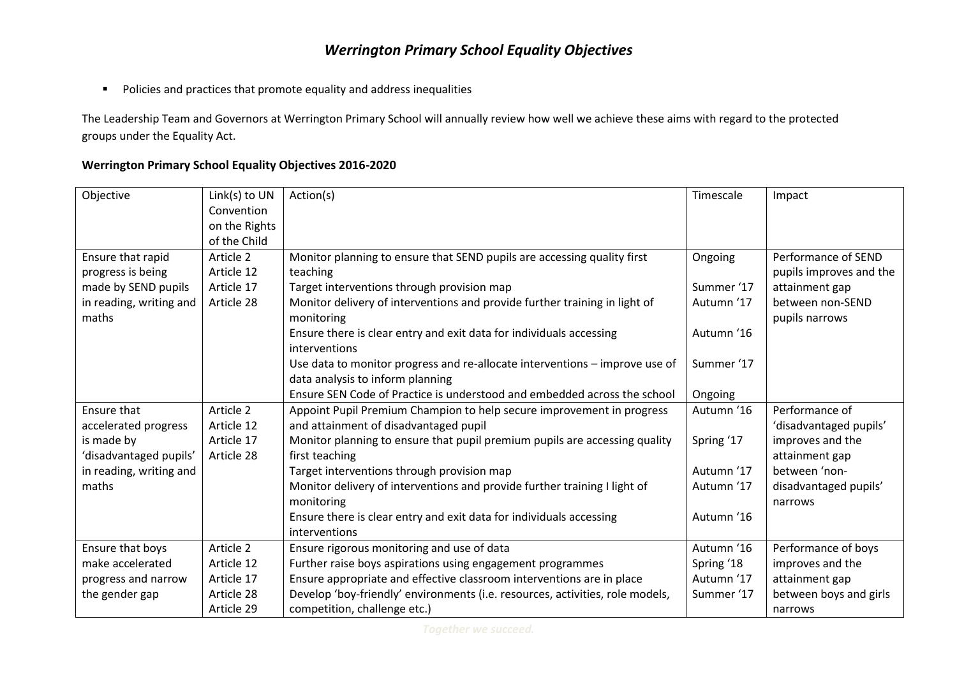## *Werrington Primary School Equality Objectives*

**Policies and practices that promote equality and address inequalities** 

The Leadership Team and Governors at Werrington Primary School will annually review how well we achieve these aims with regard to the protected groups under the Equality Act.

## **Werrington Primary School Equality Objectives 2016-2020**

| Objective               | Link(s) to UN | Action(s)                                                                     | Timescale  | Impact                  |
|-------------------------|---------------|-------------------------------------------------------------------------------|------------|-------------------------|
|                         | Convention    |                                                                               |            |                         |
|                         | on the Rights |                                                                               |            |                         |
|                         | of the Child  |                                                                               |            |                         |
| Ensure that rapid       | Article 2     | Monitor planning to ensure that SEND pupils are accessing quality first       | Ongoing    | Performance of SEND     |
| progress is being       | Article 12    | teaching                                                                      |            | pupils improves and the |
| made by SEND pupils     | Article 17    | Target interventions through provision map                                    | Summer '17 | attainment gap          |
| in reading, writing and | Article 28    | Monitor delivery of interventions and provide further training in light of    | Autumn '17 | between non-SEND        |
| maths                   |               | monitoring                                                                    |            | pupils narrows          |
|                         |               | Ensure there is clear entry and exit data for individuals accessing           | Autumn '16 |                         |
|                         |               | interventions                                                                 |            |                         |
|                         |               | Use data to monitor progress and re-allocate interventions - improve use of   | Summer '17 |                         |
|                         |               | data analysis to inform planning                                              |            |                         |
|                         |               | Ensure SEN Code of Practice is understood and embedded across the school      | Ongoing    |                         |
| Ensure that             | Article 2     | Appoint Pupil Premium Champion to help secure improvement in progress         | Autumn '16 | Performance of          |
| accelerated progress    | Article 12    | and attainment of disadvantaged pupil                                         |            | 'disadvantaged pupils'  |
| is made by              | Article 17    | Monitor planning to ensure that pupil premium pupils are accessing quality    | Spring '17 | improves and the        |
| 'disadvantaged pupils'  | Article 28    | first teaching                                                                |            | attainment gap          |
| in reading, writing and |               | Target interventions through provision map                                    | Autumn '17 | between 'non-           |
| maths                   |               | Monitor delivery of interventions and provide further training I light of     | Autumn '17 | disadvantaged pupils'   |
|                         |               | monitoring                                                                    |            | narrows                 |
|                         |               | Ensure there is clear entry and exit data for individuals accessing           | Autumn '16 |                         |
|                         |               | interventions                                                                 |            |                         |
| Ensure that boys        | Article 2     | Ensure rigorous monitoring and use of data                                    | Autumn '16 | Performance of boys     |
| make accelerated        | Article 12    | Further raise boys aspirations using engagement programmes                    | Spring '18 | improves and the        |
| progress and narrow     | Article 17    | Ensure appropriate and effective classroom interventions are in place         | Autumn '17 | attainment gap          |
| the gender gap          | Article 28    | Develop 'boy-friendly' environments (i.e. resources, activities, role models, | Summer '17 | between boys and girls  |
|                         | Article 29    | competition, challenge etc.)                                                  |            | narrows                 |